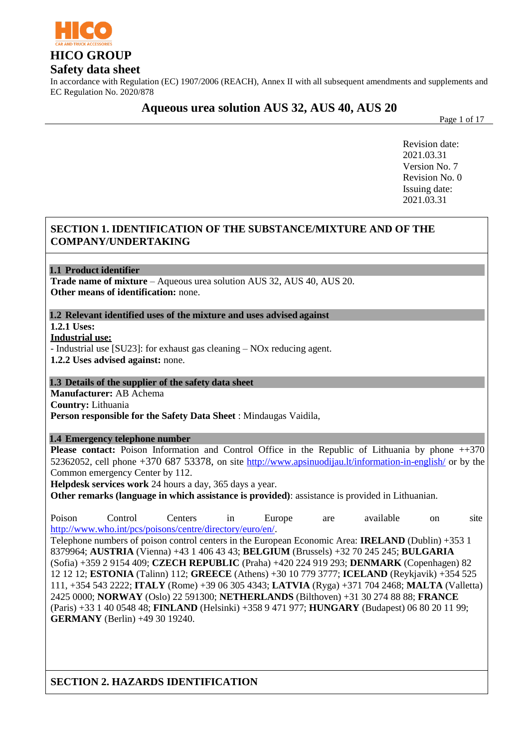

In accordance with Regulation (EC) 1907/2006 (REACH), Annex II with all subsequent amendments and supplements and EC Regulation No. 2020/878

**Aqueous urea solution AUS 32, AUS 40, AUS 20**

Page 1 of 17

Revision date: 2021.03.31 Version No. 7 Revision No. 0 Issuing date: 2021.03.31

# **SECTION 1. IDENTIFICATION OF THE SUBSTANCE/MIXTURE AND OF THE COMPANY/UNDERTAKING**

**1.1 Product identifier** 

**Trade name of mixture** – Aqueous urea solution AUS 32, AUS 40, AUS 20. **Other means of identification:** none.

**1.2 Relevant identified uses of the mixture and uses advised against**

**1.2.1 Uses:**

**Industrial use:**

- Industrial use [SU23]: for exhaust gas cleaning – NOx reducing agent.

**1.2.2 Uses advised against:** none.

#### **1.3 Details of the supplier of the safety data sheet**

**Manufacturer:** AB Achema

**Country:** Lithuania

**Person responsible for the Safety Data Sheet** : Mindaugas Vaidila,

#### **1.4 Emergency telephone number**

**Please contact:** Poison Information and Control Office in the Republic of Lithuania by phone  $++370$ 52362052, cell phone +370 687 53378, on site <http://www.apsinuodijau.lt/information-in-english/> or by the Common emergency Center by 112.

**Helpdesk services work** 24 hours a day, 365 days a year.

**Other remarks (language in which assistance is provided)**: assistance is provided in Lithuanian.

Poison Control Centers in Europe are available on site [http://www.who.int/pcs/poisons/centre/directory/euro/en/.](http://www.who.int/pcs/poisons/centre/directory/euro/en/)

Telephone numbers of poison control centers in the European Economic Area: **IRELAND** (Dublin) +353 1 8379964; **AUSTRIA** (Vienna) +43 1 406 43 43; **BELGIUM** (Brussels) +32 70 245 245; **BULGARIA** (Sofia) +359 2 9154 409; **CZECH REPUBLIC** (Praha) +420 224 919 293; **DENMARK** (Copenhagen) 82 12 12 12; **ESTONIA** (Talinn) 112; **GREECE** (Athens) +30 10 779 3777; **ICELAND** (Reykjavik) +354 525 111, +354 543 2222; **ITALY** (Rome) +39 06 305 4343; **LATVIA** (Ryga) +371 704 2468; **MALTA** (Valletta) 2425 0000; **NORWAY** (Oslo) 22 591300; **NETHERLANDS** (Bilthoven) +31 30 274 88 88; **FRANCE** (Paris) +33 1 40 0548 48; **FINLAND** (Helsinki) +358 9 471 977; **HUNGARY** (Budapest) 06 80 20 11 99; **GERMANY** (Berlin) +49 30 19240.

**SECTION 2. HAZARDS IDENTIFICATION**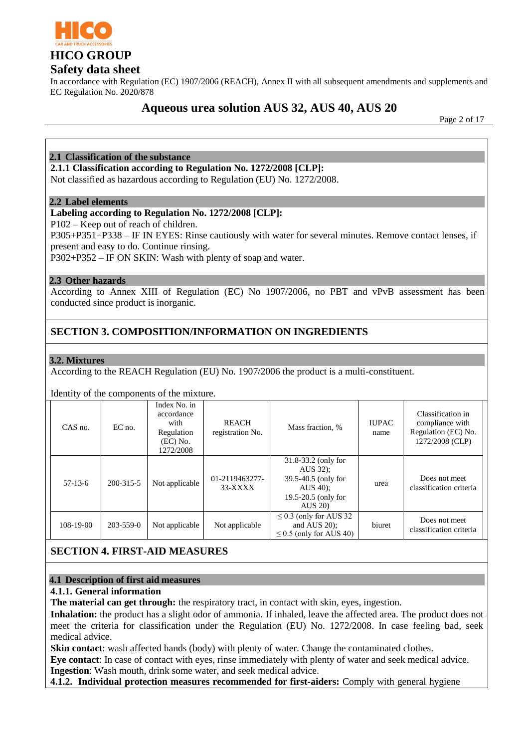

In accordance with Regulation (EC) 1907/2006 (REACH), Annex II with all subsequent amendments and supplements and EC Regulation No. 2020/878

# **Aqueous urea solution AUS 32, AUS 40, AUS 20**

Page 2 of 17

### **2.1 Classification of the substance**

#### **2.1.1 Classification according to Regulation No. 1272/2008 [CLP]:**

Not classified as hazardous according to Regulation (EU) No. 1272/2008.

#### **2.2 Label elements**

#### **Labeling according to Regulation No. 1272/2008 [CLP]:**

P102 – Keep out of reach of children.

P305+P351+P338 – IF IN EYES: Rinse cautiously with water for several minutes. Remove contact lenses, if present and easy to do. Continue rinsing.

P302+P352 – IF ON SKIN: Wash with plenty of soap and water.

#### **2.3 Other hazards**

According to Annex XIII of Regulation (EC) No 1907/2006, no PBT and vPvB assessment has been conducted since product is inorganic.

### **SECTION 3. COMPOSITION/INFORMATION ON INGREDIENTS**

#### **3.2. Mixtures**

According to the REACH Regulation (EU) No. 1907/2006 the product is a multi-constituent.

Identity of the components of the mixture.

| $CAS$ no. | $EC$ no.  | Index No. in<br>accordance<br>with<br>Regulation<br>$(EC)$ No.<br>1272/2008 | <b>REACH</b><br>registration No. | Mass fraction, %                                                                                       | <b>IUPAC</b><br>name | Classification in<br>compliance with<br>Regulation (EC) No.<br>1272/2008 (CLP) |
|-----------|-----------|-----------------------------------------------------------------------------|----------------------------------|--------------------------------------------------------------------------------------------------------|----------------------|--------------------------------------------------------------------------------|
| $57-13-6$ | 200-315-5 | Not applicable                                                              | 01-2119463277-<br>$33-XXXX$      | 31.8-33.2 (only for<br>AUS 32);<br>39.5-40.5 (only for<br>AUS $40$ :<br>19.5-20.5 (only for<br>AUS 20) | urea                 | Does not meet<br>classification criteria                                       |
| 108-19-00 | 203-559-0 | Not applicable                                                              | Not applicable                   | $\leq$ 0.3 (only for AUS 32<br>and AUS $20$ :<br>$\leq$ 0.5 (only for AUS 40)                          | biuret               | Does not meet<br>classification criteria                                       |

### **SECTION 4. FIRST-AID MEASURES**

#### **4.1 Description of first aid measures**

#### **4.1.1. General information**

**The material can get through:** the respiratory tract, in contact with skin, eyes, ingestion.

**Inhalation:** the product has a slight odor of ammonia. If inhaled, leave the affected area. The product does not meet the criteria for classification under the Regulation (EU) No. 1272/2008. In case feeling bad, seek medical advice.

**Skin contact:** wash affected hands (body) with plenty of water. Change the contaminated clothes.

**Eye contact**: In case of contact with eyes, rinse immediately with plenty of water and seek medical advice. **Ingestion**: Wash mouth, drink some water, and seek medical advice.

**4.1.2. Individual protection measures recommended for first-aiders:** Comply with general hygiene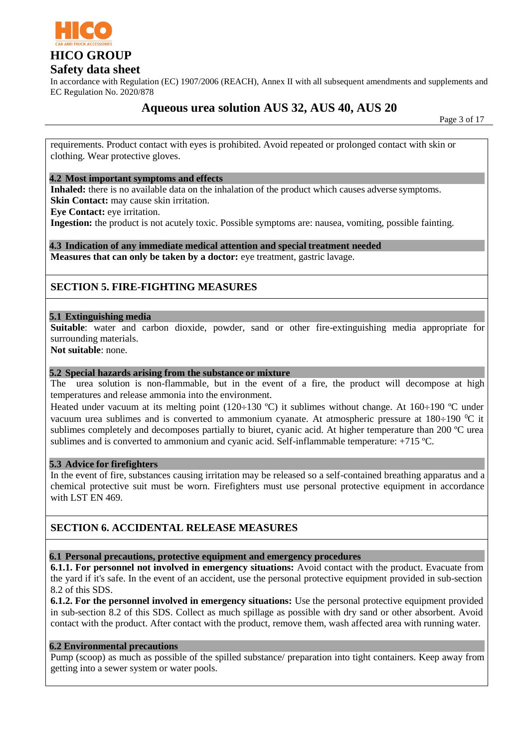

In accordance with Regulation (EC) 1907/2006 (REACH), Annex II with all subsequent amendments and supplements and EC Regulation No. 2020/878

# **Aqueous urea solution AUS 32, AUS 40, AUS 20**

Page 3 of 17

requirements. Product contact with eyes is prohibited. Avoid repeated or prolonged contact with skin or clothing. Wear protective gloves.

#### **4.2 Most important symptoms and effects**

**Inhaled:** there is no available data on the inhalation of the product which causes adverse symptoms. **Skin Contact:** may cause skin irritation.

**Eye Contact:** eye irritation.

**Ingestion:** the product is not acutely toxic. Possible symptoms are: nausea, vomiting, possible fainting.

**4.3 Indication of any immediate medical attention and special treatment needed**

**Measures that can only be taken by a doctor:** eye treatment, gastric lavage.

### **SECTION 5. FIRE-FIGHTING MEASURES**

#### **5.1 Extinguishing media**

**Suitable**: water and carbon dioxide, powder, sand or other fire-extinguishing media appropriate for surrounding materials.

**Not suitable**: none.

#### **5.2 Special hazards arising from the substance or mixture**

The urea solution is non-flammable, but in the event of a fire, the product will decompose at high temperatures and release ammonia into the environment.

Heated under vacuum at its melting point (120÷130 °C) it sublimes without change. At 160÷190 °C under vacuum urea sublimes and is converted to ammonium cyanate. At atmospheric pressure at  $180\div 190$  °C it sublimes completely and decomposes partially to biuret, cyanic acid. At higher temperature than 200 °C urea sublimes and is converted to ammonium and cyanic acid. Self-inflammable temperature: +715 ºC.

#### **5.3 Advice for firefighters**

In the event of fire, substances causing irritation may be released so a self-contained breathing apparatus and a chemical protective suit must be worn. Firefighters must use personal protective equipment in accordance with LST EN 469.

### **SECTION 6. ACCIDENTAL RELEASE MEASURES**

#### **6.1 Personal precautions, protective equipment and emergency procedures**

**6.1.1. For personnel not involved in emergency situations:** Avoid contact with the product. Evacuate from the yard if it's safe. In the event of an accident, use the personal protective equipment provided in sub-section 8.2 of this SDS.

**6.1.2. For the personnel involved in emergency situations:** Use the personal protective equipment provided in sub-section 8.2 of this SDS. Collect as much spillage as possible with dry sand or other absorbent. Avoid contact with the product. After contact with the product, remove them, wash affected area with running water.

#### **6.2 Environmental precautions**

Pump (scoop) as much as possible of the spilled substance/ preparation into tight containers. Keep away from getting into a sewer system or water pools.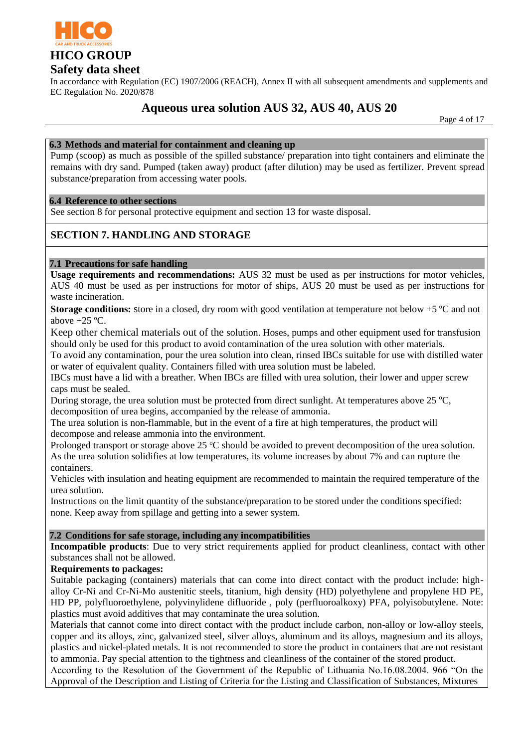

In accordance with Regulation (EC) 1907/2006 (REACH), Annex II with all subsequent amendments and supplements and EC Regulation No. 2020/878

# **Aqueous urea solution AUS 32, AUS 40, AUS 20**

Page 4 of 17

### **6.3 Methods and material for containment and cleaning up**

Pump (scoop) as much as possible of the spilled substance/ preparation into tight containers and eliminate the remains with dry sand. Pumped (taken away) product (after dilution) may be used as fertilizer. Prevent spread substance/preparation from accessing water pools.

#### **6.4 Reference to other sections**

See section 8 for personal protective equipment and section 13 for waste disposal.

# **SECTION 7. HANDLING AND STORAGE**

### **7.1 Precautions for safe handling**

**Usage requirements and recommendations:** AUS 32 must be used as per instructions for motor vehicles, AUS 40 must be used as per instructions for motor of ships, AUS 20 must be used as per instructions for waste incineration.

**Storage conditions:** store in a closed, dry room with good ventilation at temperature not below +5 °C and not above  $+25$  °C.

Keep other chemical materials out of the solution. Hoses, pumps and other equipment used for transfusion should only be used for this product to avoid contamination of the urea solution with other materials.

To avoid any contamination, pour the urea solution into clean, rinsed IBCs suitable for use with distilled water or water of equivalent quality. Containers filled with urea solution must be labeled.

IBCs must have a lid with a breather. When IBCs are filled with urea solution, their lower and upper screw caps must be sealed.

During storage, the urea solution must be protected from direct sunlight. At temperatures above  $25 \text{ °C}$ , decomposition of urea begins, accompanied by the release of ammonia.

The urea solution is non-flammable, but in the event of a fire at high temperatures, the product will decompose and release ammonia into the environment.

Prolonged transport or storage above 25  $\degree$ C should be avoided to prevent decomposition of the urea solution. As the urea solution solidifies at low temperatures, its volume increases by about 7% and can rupture the containers.

Vehicles with insulation and heating equipment are recommended to maintain the required temperature of the urea solution.

Instructions on the limit quantity of the substance/preparation to be stored under the conditions specified: none. Keep away from spillage and getting into a sewer system.

### **7.2 Conditions for safe storage, including any incompatibilities**

**Incompatible products**: Due to very strict requirements applied for product cleanliness, contact with other substances shall not be allowed.

### **Requirements to packages:**

Suitable packaging (containers) materials that can come into direct contact with the product include: highalloy Cr-Ni and Cr-Ni-Mo austenitic steels, titanium, high density (HD) polyethylene and propylene HD PE, HD PP, polyfluoroethylene, polyvinylidene difluoride , poly (perfluoroalkoxy) PFA, polyisobutylene. Note: plastics must avoid additives that may contaminate the urea solution.

Materials that cannot come into direct contact with the product include carbon, non-alloy or low-alloy steels, copper and its alloys, zinc, galvanized steel, silver alloys, aluminum and its alloys, magnesium and its alloys, plastics and nickel-plated metals. It is not recommended to store the product in containers that are not resistant to ammonia. Pay special attention to the tightness and cleanliness of the container of the stored product.

According to the Resolution of the Government of the Republic of Lithuania No.16.08.2004. 966 "On the Approval of the Description and Listing of Criteria for the Listing and Classification of Substances, Mixtures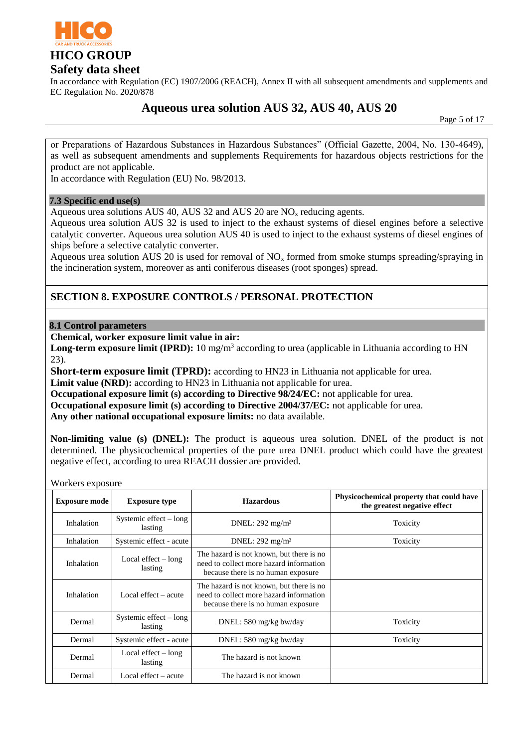

In accordance with Regulation (EC) 1907/2006 (REACH), Annex II with all subsequent amendments and supplements and EC Regulation No. 2020/878

# **Aqueous urea solution AUS 32, AUS 40, AUS 20**

Page 5 of 17

or Preparations of Hazardous Substances in Hazardous Substances" (Official Gazette, 2004, No. 130-4649), as well as subsequent amendments and supplements Requirements for hazardous objects restrictions for the product are not applicable.

In accordance with Regulation (EU) No. 98/2013.

#### **7.3 Specific end use(s)**

Aqueous urea solutions AUS 40, AUS 32 and AUS 20 are  $NO<sub>x</sub>$  reducing agents.

Aqueous urea solution AUS 32 is used to inject to the exhaust systems of diesel engines before a selective catalytic converter. Aqueous urea solution AUS 40 is used to inject to the exhaust systems of diesel engines of ships before a selective catalytic converter.

Aqueous urea solution AUS 20 is used for removal of  $NO<sub>x</sub>$  formed from smoke stumps spreading/spraying in the incineration system, moreover as anti coniferous diseases (root sponges) spread.

### **SECTION 8. EXPOSURE CONTROLS / PERSONAL PROTECTION**

#### **8.1 Control parameters**

**Chemical, worker exposure limit value in air:**

Long-term exposure limit (IPRD): 10 mg/m<sup>3</sup> according to urea (applicable in Lithuania according to HN 23).

**Short-term exposure limit (TPRD):** according to HN23 in Lithuania not applicable for urea.

Limit value (NRD): according to HN23 in Lithuania not applicable for urea.

**Occupational exposure limit (s) according to Directive 98/24/EC:** not applicable for urea.

**Occupational exposure limit (s) according to Directive 2004/37/EC:** not applicable for urea.

**Any other national occupational exposure limits:** no data available.

**Non-limiting value (s) (DNEL):** The product is aqueous urea solution. DNEL of the product is not determined. The physicochemical properties of the pure urea DNEL product which could have the greatest negative effect, according to urea REACH dossier are provided.

Workers exposure

| <b>Exposure mode</b> | <b>Exposure type</b>                | <b>Hazardous</b>                                                                                                          | Physicochemical property that could have<br>the greatest negative effect |
|----------------------|-------------------------------------|---------------------------------------------------------------------------------------------------------------------------|--------------------------------------------------------------------------|
| Inhalation           | Systemic effect $-\log$<br>lasting  | DNEL: $292 \text{ mg/m}^3$                                                                                                | Toxicity                                                                 |
| Inhalation           | Systemic effect - acute             | DNEL: $292 \text{ mg/m}^3$                                                                                                | Toxicity                                                                 |
| Inhalation           | Local effect $-$ long<br>lasting    | The hazard is not known, but there is no<br>need to collect more hazard information<br>because there is no human exposure |                                                                          |
| Inhalation           | Local effect $-$ acute              | The hazard is not known, but there is no<br>need to collect more hazard information<br>because there is no human exposure |                                                                          |
| Dermal               | Systemic effect $-$ long<br>lasting | DNEL: 580 mg/kg bw/day                                                                                                    | Toxicity                                                                 |
| Dermal               | Systemic effect - acute             | DNEL: 580 mg/kg bw/day                                                                                                    | Toxicity                                                                 |
| Dermal               | Local effect $-$ long<br>lasting    | The hazard is not known                                                                                                   |                                                                          |
| Dermal               | Local effect $-$ acute              | The hazard is not known                                                                                                   |                                                                          |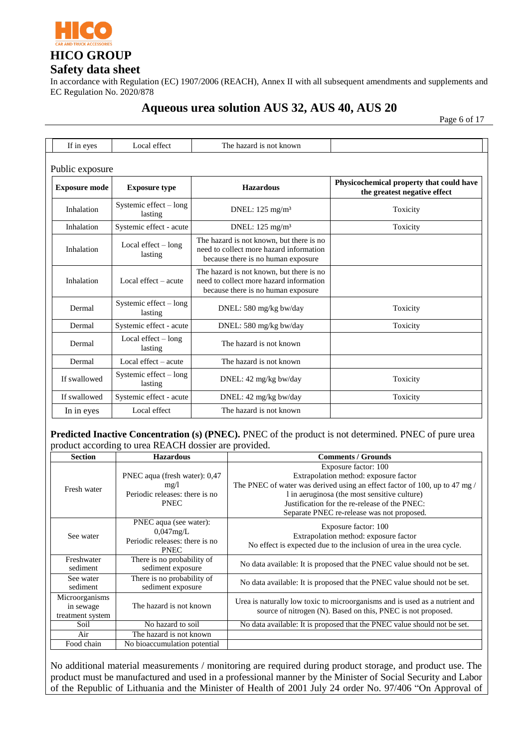

In accordance with Regulation (EC) 1907/2006 (REACH), Annex II with all subsequent amendments and supplements and EC Regulation No. 2020/878

# **Aqueous urea solution AUS 32, AUS 40, AUS 20**

Page 6 of 17

| If in eyes           | Local effect                        | The hazard is not known                                                                                                   |                                                                          |  |  |  |
|----------------------|-------------------------------------|---------------------------------------------------------------------------------------------------------------------------|--------------------------------------------------------------------------|--|--|--|
| Public exposure      |                                     |                                                                                                                           |                                                                          |  |  |  |
| <b>Exposure mode</b> | <b>Exposure type</b>                | <b>Hazardous</b>                                                                                                          | Physicochemical property that could have<br>the greatest negative effect |  |  |  |
| Inhalation           | Systemic effect - long<br>lasting   | DNEL: $125 \text{ mg/m}^3$                                                                                                | Toxicity                                                                 |  |  |  |
| Inhalation           | Systemic effect - acute             | DNEL: 125 mg/m <sup>3</sup>                                                                                               | Toxicity                                                                 |  |  |  |
| Inhalation           | Local effect $-$ long<br>lasting    | The hazard is not known, but there is no<br>need to collect more hazard information<br>because there is no human exposure |                                                                          |  |  |  |
| Inhalation           | Local effect $-$ acute              | The hazard is not known, but there is no<br>need to collect more hazard information<br>because there is no human exposure |                                                                          |  |  |  |
| Dermal               | Systemic effect $-$ long<br>lasting | DNEL: 580 mg/kg bw/day                                                                                                    | Toxicity                                                                 |  |  |  |
| Dermal               | Systemic effect - acute             | DNEL: 580 mg/kg bw/day                                                                                                    | Toxicity                                                                 |  |  |  |
| Dermal               | Local effect $-$ long<br>lasting    | The hazard is not known                                                                                                   |                                                                          |  |  |  |
| Dermal               | Local effect – acute                | The hazard is not known                                                                                                   |                                                                          |  |  |  |
| If swallowed         | Systemic effect $-$ long<br>lasting | DNEL: 42 mg/kg bw/day                                                                                                     | Toxicity                                                                 |  |  |  |
| If swallowed         | Systemic effect - acute             | DNEL: 42 mg/kg bw/day                                                                                                     | Toxicity                                                                 |  |  |  |
| In in eyes           | Local effect                        | The hazard is not known                                                                                                   |                                                                          |  |  |  |

#### **Predicted Inactive Concentration (s) (PNEC).** PNEC of the product is not determined. PNEC of pure urea product according to urea REACH dossier are provided.

| <b>Section</b>   | <b>Hazardous</b>               | <b>Comments / Grounds</b>                                                   |  |  |
|------------------|--------------------------------|-----------------------------------------------------------------------------|--|--|
|                  |                                | Exposure factor: 100                                                        |  |  |
|                  | PNEC aqua (fresh water): 0,47  | Extrapolation method: exposure factor                                       |  |  |
| Fresh water      | mg/l                           | The PNEC of water was derived using an effect factor of 100, up to 47 mg /  |  |  |
|                  | Periodic releases: there is no | l in aeruginosa (the most sensitive culture)                                |  |  |
|                  | <b>PNEC</b>                    | Justification for the re-release of the PNEC:                               |  |  |
|                  |                                | Separate PNEC re-release was not proposed.                                  |  |  |
|                  | PNEC aqua (see water):         | Exposure factor: 100                                                        |  |  |
| See water        | $0.047$ mg/L                   | Extrapolation method: exposure factor                                       |  |  |
|                  | Periodic releases: there is no | No effect is expected due to the inclusion of urea in the urea cycle.       |  |  |
|                  | <b>PNEC</b>                    |                                                                             |  |  |
| Freshwater       | There is no probability of     | No data available: It is proposed that the PNEC value should not be set.    |  |  |
| sediment         | sediment exposure              |                                                                             |  |  |
| See water        | There is no probability of     | No data available: It is proposed that the PNEC value should not be set.    |  |  |
| sediment         | sediment exposure              |                                                                             |  |  |
| Microorganisms   |                                | Urea is naturally low toxic to microorganisms and is used as a nutrient and |  |  |
| in sewage        | The hazard is not known        | source of nitrogen (N). Based on this, PNEC is not proposed.                |  |  |
| treatment system |                                |                                                                             |  |  |
| Soil             | No hazard to soil              | No data available: It is proposed that the PNEC value should not be set.    |  |  |
| Air              | The hazard is not known        |                                                                             |  |  |
| Food chain       | No bioaccumulation potential   |                                                                             |  |  |

No additional material measurements / monitoring are required during product storage, and product use. The product must be manufactured and used in a professional manner by the Minister of Social Security and Labor of the Republic of Lithuania and the Minister of Health of 2001 July 24 order No. 97/406 "On Approval of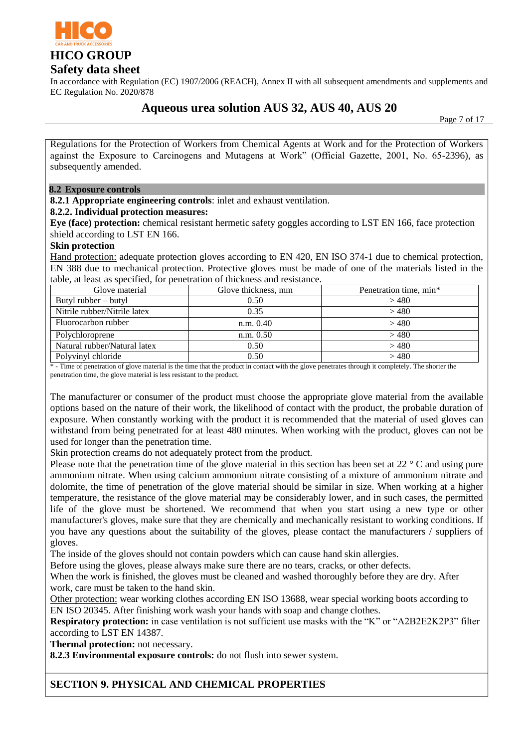

In accordance with Regulation (EC) 1907/2006 (REACH), Annex II with all subsequent amendments and supplements and EC Regulation No. 2020/878

# **Aqueous urea solution AUS 32, AUS 40, AUS 20**

Page 7 of 17

Regulations for the Protection of Workers from Chemical Agents at Work and for the Protection of Workers against the Exposure to Carcinogens and Mutagens at Work" (Official Gazette, 2001, No. 65-2396), as subsequently amended.

#### **8.2 Exposure controls**

**8.2.1 Appropriate engineering controls**: inlet and exhaust ventilation.

#### **8.2.2. Individual protection measures:**

**Eye (face) protection:** chemical resistant hermetic safety goggles according to LST EN 166, face protection shield according to LST EN 166.

#### **Skin protection**

Hand protection: adequate protection gloves according to EN 420, EN ISO 374-1 due to chemical protection, EN 388 due to mechanical protection. Protective gloves must be made of one of the materials listed in the table, at least as specified, for penetration of thickness and resistance.

| Glove material               | Glove thickness, mm | Penetration time, min* |
|------------------------------|---------------------|------------------------|
| Butyl rubber $-$ butyl       | 0.50                | >480                   |
| Nitrile rubber/Nitrile latex | 0.35                | >480                   |
| Fluorocarbon rubber          | n.m. 0.40           | >480                   |
| Polychloroprene              | n.m. 0.50           | >480                   |
| Natural rubber/Natural latex | 0.50                | >480                   |
| Polyvinyl chloride           | 0.50                | >480                   |

\* - Time of penetration of glove material is the time that the product in contact with the glove penetrates through it completely. The shorter the penetration time, the glove material is less resistant to the product.

The manufacturer or consumer of the product must choose the appropriate glove material from the available options based on the nature of their work, the likelihood of contact with the product, the probable duration of exposure. When constantly working with the product it is recommended that the material of used gloves can withstand from being penetrated for at least 480 minutes. When working with the product, gloves can not be used for longer than the penetration time.

Skin protection creams do not adequately protect from the product.

Please note that the penetration time of the glove material in this section has been set at 22 ° C and using pure ammonium nitrate. When using calcium ammonium nitrate consisting of a mixture of ammonium nitrate and dolomite, the time of penetration of the glove material should be similar in size. When working at a higher temperature, the resistance of the glove material may be considerably lower, and in such cases, the permitted life of the glove must be shortened. We recommend that when you start using a new type or other manufacturer's gloves, make sure that they are chemically and mechanically resistant to working conditions. If you have any questions about the suitability of the gloves, please contact the manufacturers / suppliers of gloves.

The inside of the gloves should not contain powders which can cause hand skin allergies.

Before using the gloves, please always make sure there are no tears, cracks, or other defects.

When the work is finished, the gloves must be cleaned and washed thoroughly before they are dry. After work, care must be taken to the hand skin.

Other protection: wear working clothes according EN ISO 13688, wear special working boots according to EN ISO 20345. After finishing work wash your hands with soap and change clothes.

**Respiratory protection:** in case ventilation is not sufficient use masks with the "K" or "A2B2E2K2P3" filter according to LST EN 14387.

**Thermal protection:** not necessary.

**8.2.3 Environmental exposure controls:** do not flush into sewer system.

### **SECTION 9. PHYSICAL AND CHEMICAL PROPERTIES**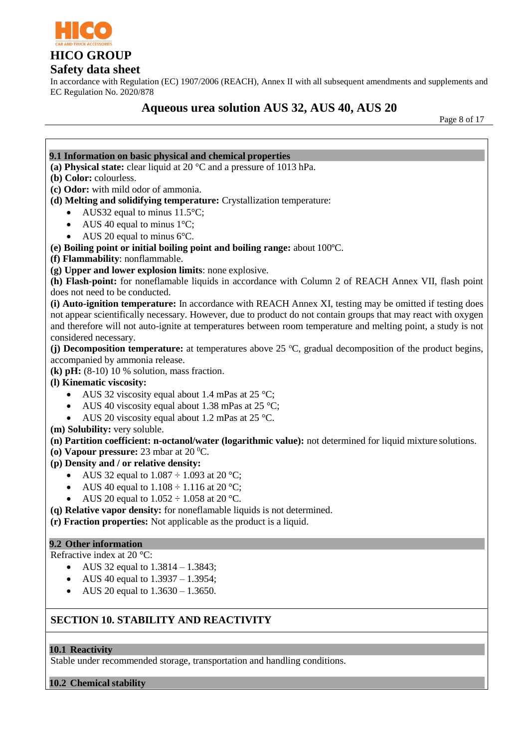

# **Safety data sheet**

In accordance with Regulation (EC) 1907/2006 (REACH), Annex II with all subsequent amendments and supplements and EC Regulation No. 2020/878

# **Aqueous urea solution AUS 32, AUS 40, AUS 20**

Page 8 of 17



#### **10.1 Reactivity**

Stable under recommended storage, transportation and handling conditions.

**10.2 Chemical stability**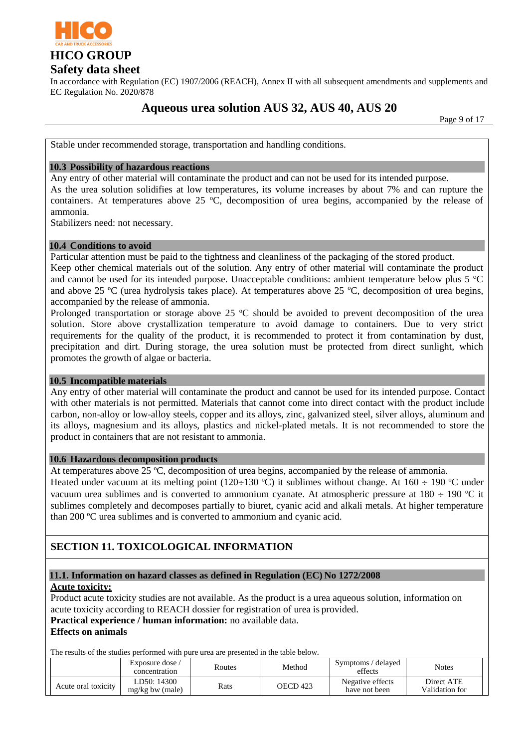

In accordance with Regulation (EC) 1907/2006 (REACH), Annex II with all subsequent amendments and supplements and EC Regulation No. 2020/878

# **Aqueous urea solution AUS 32, AUS 40, AUS 20**

Page 9 of 17

Stable under recommended storage, transportation and handling conditions.

#### **10.3 Possibility of hazardous reactions**

Any entry of other material will contaminate the product and can not be used for its intended purpose.

As the urea solution solidifies at low temperatures, its volume increases by about 7% and can rupture the containers. At temperatures above 25  $^{\circ}$ C, decomposition of urea begins, accompanied by the release of ammonia.

Stabilizers need: not necessary.

### **10.4 Conditions to avoid**

Particular attention must be paid to the tightness and cleanliness of the packaging of the stored product. Keep other chemical materials out of the solution. Any entry of other material will contaminate the product and cannot be used for its intended purpose. Unacceptable conditions: ambient temperature below plus 5 °C and above 25  $\rm{°C}$  (urea hydrolysis takes place). At temperatures above 25  $\rm{°C}$ , decomposition of urea begins, accompanied by the release of ammonia.

Prolonged transportation or storage above 25  $\degree$ C should be avoided to prevent decomposition of the urea solution. Store above crystallization temperature to avoid damage to containers. Due to very strict requirements for the quality of the product, it is recommended to protect it from contamination by dust, precipitation and dirt. During storage, the urea solution must be protected from direct sunlight, which promotes the growth of algae or bacteria.

#### **10.5 Incompatible materials**

Any entry of other material will contaminate the product and cannot be used for its intended purpose. Contact with other materials is not permitted. Materials that cannot come into direct contact with the product include carbon, non-alloy or low-alloy steels, copper and its alloys, zinc, galvanized steel, silver alloys, aluminum and its alloys, magnesium and its alloys, plastics and nickel-plated metals. It is not recommended to store the product in containers that are not resistant to ammonia.

#### **10.6 Hazardous decomposition products**

At temperatures above 25  $^{\circ}$ C, decomposition of urea begins, accompanied by the release of ammonia.

Heated under vacuum at its melting point (120÷130 °C) it sublimes without change. At 160 ÷ 190 °C under vacuum urea sublimes and is converted to ammonium cyanate. At atmospheric pressure at  $180 \div 190$  °C it sublimes completely and decomposes partially to biuret, cyanic acid and alkali metals. At higher temperature than 200 ºC urea sublimes and is converted to ammonium and cyanic acid.

# **SECTION 11. TOXICOLOGICAL INFORMATION**

### **11.1. Information on hazard classes as defined in Regulation (EC) No 1272/2008**

#### **Acute toxicity:**

Product acute toxicity studies are not available. As the product is a urea aqueous solution, information on acute toxicity according to REACH dossier for registration of urea is provided.

### **Practical experience / human information:** no available data.

#### **Effects on animals**

The results of the studies performed with pure urea are presented in the table below.

|                     | Exposure dose /<br>concentration | Routes | Method   | delayed<br>Symptoms/<br>effects   | <b>Notes</b>                 |
|---------------------|----------------------------------|--------|----------|-----------------------------------|------------------------------|
| Acute oral toxicity | LD50: 14300<br>$mg/kg$ bw (male) | Rats   | OECD 423 | Negative effects<br>have not been | Direct ATE<br>Validation for |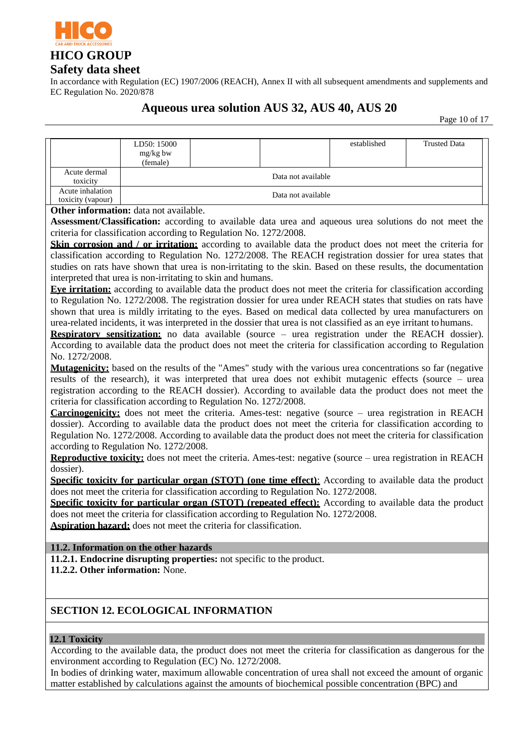

In accordance with Regulation (EC) 1907/2006 (REACH), Annex II with all subsequent amendments and supplements and EC Regulation No. 2020/878

# **Aqueous urea solution AUS 32, AUS 40, AUS 20**

Page 10 of 17

|                                           | LD50: 15000                                                                          |  |                    | established                                                                                                         | <b>Trusted Data</b>                                                                                                 |  |  |
|-------------------------------------------|--------------------------------------------------------------------------------------|--|--------------------|---------------------------------------------------------------------------------------------------------------------|---------------------------------------------------------------------------------------------------------------------|--|--|
|                                           | mg/kg bw                                                                             |  |                    |                                                                                                                     |                                                                                                                     |  |  |
| Acute dermal                              | (female)                                                                             |  |                    |                                                                                                                     |                                                                                                                     |  |  |
| toxicity                                  | Data not available                                                                   |  |                    |                                                                                                                     |                                                                                                                     |  |  |
| Acute inhalation                          |                                                                                      |  | Data not available |                                                                                                                     |                                                                                                                     |  |  |
| toxicity (vapour)                         |                                                                                      |  |                    |                                                                                                                     |                                                                                                                     |  |  |
|                                           | Other information: data not available.                                               |  |                    |                                                                                                                     |                                                                                                                     |  |  |
|                                           |                                                                                      |  |                    |                                                                                                                     | <b>Assessment/Classification:</b> according to available data urea and aqueous urea solutions do not meet the       |  |  |
|                                           | criteria for classification according to Regulation No. 1272/2008.                   |  |                    |                                                                                                                     |                                                                                                                     |  |  |
|                                           |                                                                                      |  |                    |                                                                                                                     | Skin corrosion and / or irritation: according to available data the product does not meet the criteria for          |  |  |
|                                           |                                                                                      |  |                    |                                                                                                                     | classification according to Regulation No. 1272/2008. The REACH registration dossier for urea states that           |  |  |
|                                           |                                                                                      |  |                    |                                                                                                                     | studies on rats have shown that urea is non-irritating to the skin. Based on these results, the documentation       |  |  |
|                                           | interpreted that urea is non-irritating to skin and humans.                          |  |                    |                                                                                                                     |                                                                                                                     |  |  |
|                                           |                                                                                      |  |                    |                                                                                                                     | Eve irritation: according to available data the product does not meet the criteria for classification according     |  |  |
|                                           |                                                                                      |  |                    |                                                                                                                     | to Regulation No. 1272/2008. The registration dossier for urea under REACH states that studies on rats have         |  |  |
|                                           |                                                                                      |  |                    |                                                                                                                     | shown that urea is mildly irritating to the eyes. Based on medical data collected by urea manufacturers on          |  |  |
|                                           |                                                                                      |  |                    | urea-related incidents, it was interpreted in the dossier that urea is not classified as an eye irritant to humans. |                                                                                                                     |  |  |
|                                           |                                                                                      |  |                    |                                                                                                                     | Respiratory sensitization: no data available (source - urea registration under the REACH dossier).                  |  |  |
|                                           |                                                                                      |  |                    |                                                                                                                     | According to available data the product does not meet the criteria for classification according to Regulation       |  |  |
| No. 1272/2008.                            |                                                                                      |  |                    |                                                                                                                     |                                                                                                                     |  |  |
|                                           |                                                                                      |  |                    |                                                                                                                     | <b>Mutagenicity:</b> based on the results of the "Ames" study with the various urea concentrations so far (negative |  |  |
|                                           |                                                                                      |  |                    |                                                                                                                     | results of the research), it was interpreted that urea does not exhibit mutagenic effects (source - urea            |  |  |
|                                           |                                                                                      |  |                    |                                                                                                                     | registration according to the REACH dossier). According to available data the product does not meet the             |  |  |
|                                           | criteria for classification according to Regulation No. 1272/2008.                   |  |                    |                                                                                                                     |                                                                                                                     |  |  |
|                                           |                                                                                      |  |                    |                                                                                                                     | Carcinogenicity: does not meet the criteria. Ames-test: negative (source - urea registration in REACH               |  |  |
|                                           |                                                                                      |  |                    |                                                                                                                     | dossier). According to available data the product does not meet the criteria for classification according to        |  |  |
|                                           |                                                                                      |  |                    |                                                                                                                     | Regulation No. 1272/2008. According to available data the product does not meet the criteria for classification     |  |  |
|                                           | according to Regulation No. 1272/2008.                                               |  |                    |                                                                                                                     |                                                                                                                     |  |  |
|                                           |                                                                                      |  |                    |                                                                                                                     | Reproductive toxicity: does not meet the criteria. Ames-test: negative (source - urea registration in REACH         |  |  |
| dossier).                                 |                                                                                      |  |                    |                                                                                                                     |                                                                                                                     |  |  |
|                                           |                                                                                      |  |                    |                                                                                                                     | <b>Specific toxicity for particular organ (STOT) (one time effect):</b> According to available data the product     |  |  |
|                                           | does not meet the criteria for classification according to Regulation No. 1272/2008. |  |                    |                                                                                                                     |                                                                                                                     |  |  |
|                                           |                                                                                      |  |                    |                                                                                                                     | Specific toxicity for particular organ (STOT) (repeated effect): According to available data the product            |  |  |
|                                           | does not meet the criteria for classification according to Regulation No. 1272/2008. |  |                    |                                                                                                                     |                                                                                                                     |  |  |
|                                           | <b>Aspiration hazard:</b> does not meet the criteria for classification.             |  |                    |                                                                                                                     |                                                                                                                     |  |  |
|                                           |                                                                                      |  |                    |                                                                                                                     |                                                                                                                     |  |  |
|                                           | 11.2. Information on the other hazards                                               |  |                    |                                                                                                                     |                                                                                                                     |  |  |
|                                           | 11.2.1. Endocrine disrupting properties: not specific to the product.                |  |                    |                                                                                                                     |                                                                                                                     |  |  |
| 11.2.2. Other information: None.          |                                                                                      |  |                    |                                                                                                                     |                                                                                                                     |  |  |
|                                           |                                                                                      |  |                    |                                                                                                                     |                                                                                                                     |  |  |
|                                           |                                                                                      |  |                    |                                                                                                                     |                                                                                                                     |  |  |
| <b>SECTION 12. ECOLOGICAL INFORMATION</b> |                                                                                      |  |                    |                                                                                                                     |                                                                                                                     |  |  |
|                                           |                                                                                      |  |                    |                                                                                                                     |                                                                                                                     |  |  |
|                                           |                                                                                      |  |                    |                                                                                                                     |                                                                                                                     |  |  |
| 12.1 Toxicity                             |                                                                                      |  |                    |                                                                                                                     |                                                                                                                     |  |  |
|                                           |                                                                                      |  |                    |                                                                                                                     | According to the available data, the product does not meet the criteria for classification as dangerous for the     |  |  |
|                                           | environment according to Regulation (EC) No. 1272/2008.                              |  |                    |                                                                                                                     |                                                                                                                     |  |  |
|                                           |                                                                                      |  |                    |                                                                                                                     | In bodies of drinking water, maximum allowable concentration of urea shall not exceed the amount of organic         |  |  |
|                                           |                                                                                      |  |                    | matter established by calculations against the amounts of biochemical possible concentration (BPC) and              |                                                                                                                     |  |  |
|                                           |                                                                                      |  |                    |                                                                                                                     |                                                                                                                     |  |  |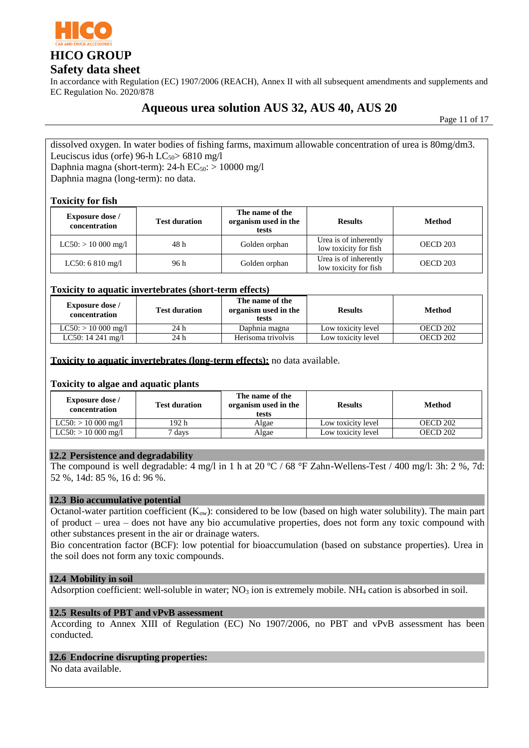

In accordance with Regulation (EC) 1907/2006 (REACH), Annex II with all subsequent amendments and supplements and EC Regulation No. 2020/878

# **Aqueous urea solution AUS 32, AUS 40, AUS 20**

Page 11 of 17

dissolved oxygen. In water bodies of fishing farms, maximum allowable concentration of urea is 80mg/dm3. Leuciscus idus (orfe) 96-h LC $_{50}$ > 6810 mg/l Daphnia magna (short-term): 24-h  $EC_{50}$ : > 10000 mg/l Daphnia magna (long-term): no data.

#### **Toxicity for fish**

| <b>Exposure dose</b> /<br>concentration | <b>Test duration</b> | The name of the<br>organism used in the<br>tests | <b>Results</b>                                 | <b>Method</b> |
|-----------------------------------------|----------------------|--------------------------------------------------|------------------------------------------------|---------------|
| $LC50$ : $> 10000$ mg/l                 | 48 h                 | Golden orphan                                    | Urea is of inherently<br>low toxicity for fish | OECD 203      |
| LC50: $6810$ mg/l                       | 96 h                 | Golden orphan                                    | Urea is of inherently<br>low toxicity for fish | OECD 203      |

#### **Toxicity to aquatic invertebrates (short-term effects)**

| <b>Exposure dose</b> /<br>concentration | <b>Test duration</b> | The name of the<br>organism used in the<br>tests | <b>Results</b>     | <b>Method</b> |
|-----------------------------------------|----------------------|--------------------------------------------------|--------------------|---------------|
| $LC50: > 10000$ mg/l                    | 24 h                 | Daphnia magna                                    | Low toxicity level | OECD 202      |
| LC50: 14 241 mg/l                       | 24 h                 | Herisoma trivolvis                               | Low toxicity level | OECD 202      |

#### **Toxicity to aquatic invertebrates (long-term effects):** no data available.

#### **Toxicity to algae and aquatic plants**

| <b>Exposure dose</b> /<br>concentration | <b>Test duration</b> | The name of the<br>organism used in the<br>tests | <b>Results</b>     | <b>Method</b> |
|-----------------------------------------|----------------------|--------------------------------------------------|--------------------|---------------|
| $LC50: > 10000$ mg/l                    | 192 h                | Algae                                            | Low toxicity level | OECD 202      |
| $LC50: > 10000$ mg/l                    | ' davs               | Algae                                            | Low toxicity level | OECD 202      |

#### **12.2 Persistence and degradability**

The compound is well degradable: 4 mg/l in 1 h at 20  $\degree$ C / 68  $\degree$ F Zahn-Wellens-Test / 400 mg/l: 3h: 2 %, 7d: 52 %, 14d: 85 %, 16 d: 96 %.

#### **12.3 Bio accumulative potential**

Octanol-water partition coefficient  $(K_{ow})$ : considered to be low (based on high water solubility). The main part of product – urea – does not have any bio accumulative properties, does not form any toxic compound with other substances present in the air or drainage waters.

Bio concentration factor (BCF): low potential for bioaccumulation (based on substance properties). Urea in the soil does not form any toxic compounds.

#### **12.4 Mobility in soil**

Adsorption coefficient: well-soluble in water;  $NO<sub>3</sub>$  ion is extremely mobile. NH<sub>4</sub> cation is absorbed in soil.

#### **12.5 Results of PBT and vPvB assessment**

According to Annex XIII of Regulation (EC) No 1907/2006, no PBT and vPvB assessment has been conducted.

### **12.6 Endocrine disrupting properties:**

No data available.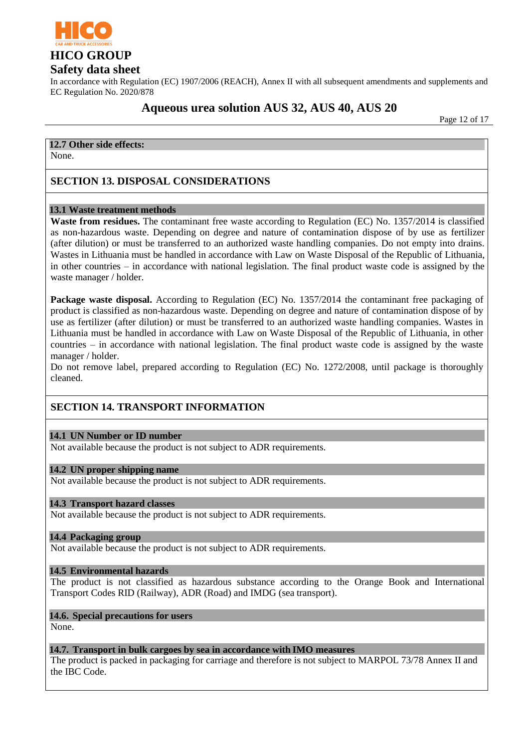

### **Safety data sheet**

In accordance with Regulation (EC) 1907/2006 (REACH), Annex II with all subsequent amendments and supplements and EC Regulation No. 2020/878

# **Aqueous urea solution AUS 32, AUS 40, AUS 20**

Page 12 of 17

### **12.7 Other side effects:**

None.

### **SECTION 13. DISPOSAL CONSIDERATIONS**

#### **13.1 Waste treatment methods**

**Waste from residues.** The contaminant free waste according to Regulation (EC) No. 1357/2014 is classified as non-hazardous waste. Depending on degree and nature of contamination dispose of by use as fertilizer (after dilution) or must be transferred to an authorized waste handling companies. Do not empty into drains. Wastes in Lithuania must be handled in accordance with Law on Waste Disposal of the Republic of Lithuania, in other countries – in accordance with national legislation. The final product waste code is assigned by the waste manager / holder.

**Package waste disposal.** According to Regulation (EC) No. 1357/2014 the contaminant free packaging of product is classified as non-hazardous waste. Depending on degree and nature of contamination dispose of by use as fertilizer (after dilution) or must be transferred to an authorized waste handling companies. Wastes in Lithuania must be handled in accordance with Law on Waste Disposal of the Republic of Lithuania, in other countries – in accordance with national legislation. The final product waste code is assigned by the waste manager / holder.

Do not remove label, prepared according to Regulation (EC) No. 1272/2008, until package is thoroughly cleaned.

# **SECTION 14. TRANSPORT INFORMATION**

#### **14.1 UN Number or ID number**

Not available because the product is not subject to ADR requirements.

#### **14.2 UN proper shipping name**

Not available because the product is not subject to ADR requirements.

#### **14.3 Transport hazard classes**

Not available because the product is not subject to ADR requirements.

#### **14.4 Packaging group**

Not available because the product is not subject to ADR requirements.

#### **14.5 Environmental hazards**

The product is not classified as hazardous substance according to the Orange Book and International Transport Codes RID (Railway), ADR (Road) and IMDG (sea transport).

### **14.6. Special precautions for users**

None.

#### **14.7. Transport in bulk cargoes by sea in accordance with IMO measures**

The product is packed in packaging for carriage and therefore is not subject to MARPOL 73/78 Annex II and the IBC Code.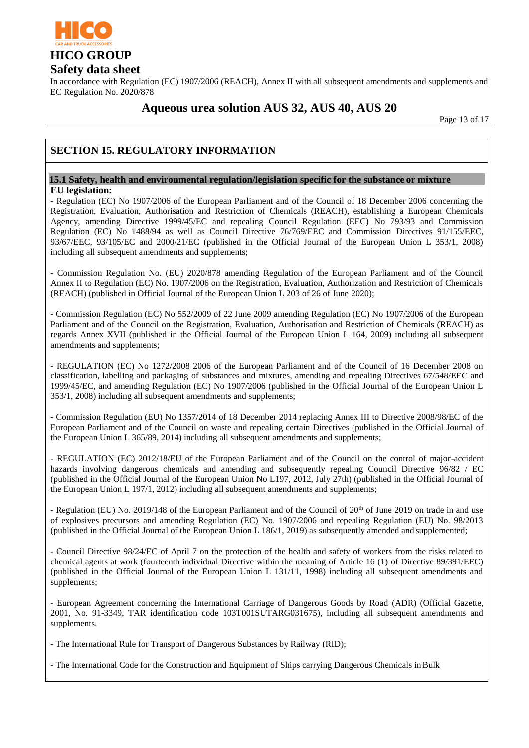

In accordance with Regulation (EC) 1907/2006 (REACH), Annex II with all subsequent amendments and supplements and EC Regulation No. 2020/878

# **Aqueous urea solution AUS 32, AUS 40, AUS 20**

Page 13 of 17

# **SECTION 15. REGULATORY INFORMATION**

#### **15.1 Safety, health and environmental regulation/legislation specific for the substance or mixture EU legislation:**

- Regulation (EC) No 1907/2006 of the European Parliament and of the Council of 18 December 2006 concerning the Registration, Evaluation, Authorisation and Restriction of Chemicals (REACH), establishing a European Chemicals Agency, amending Directive 1999/45/EC and repealing Council Regulation (EEC) No 793/93 and Commission Regulation (EC) No 1488/94 as well as Council Directive 76/769/EEC and Commission Directives 91/155/EEC, 93/67/EEC, 93/105/EC and 2000/21/EC (published in the Official Journal of the European Union L 353/1, 2008) including all subsequent amendments and supplements;

- Commission Regulation No. (EU) 2020/878 amending Regulation of the European Parliament and of the Council Annex II to Regulation (EC) No. 1907/2006 on the Registration, Evaluation, Authorization and Restriction of Chemicals (REACH) (published in Official Journal of the European Union L 203 of 26 of June 2020);

- Commission Regulation (EC) No 552/2009 of 22 June 2009 amending Regulation (EC) No 1907/2006 of the European Parliament and of the Council on the Registration, Evaluation, Authorisation and Restriction of Chemicals (REACH) as regards Annex XVII (published in the Official Journal of the European Union L 164, 2009) including all subsequent amendments and supplements;

- REGULATION (EC) No 1272/2008 2006 of the European Parliament and of the Council of 16 December 2008 on classification, labelling and packaging of substances and mixtures, amending and repealing Directives 67/548/EEC and 1999/45/EC, and amending Regulation (EC) No 1907/2006 (published in the Official Journal of the European Union L 353/1, 2008) including all subsequent amendments and supplements;

- Commission Regulation (EU) No 1357/2014 of 18 December 2014 replacing Annex III to Directive 2008/98/EC of the European Parliament and of the Council on waste and repealing certain Directives (published in the Official Journal of the European Union L 365/89, 2014) including all subsequent amendments and supplements;

- REGULATION (EC) 2012/18/EU of the European Parliament and of the Council on the control of major-accident hazards involving dangerous chemicals and amending and subsequently repealing Council Directive 96/82 / EC (published in the Official Journal of the European Union No L197, 2012, July 27th) (published in the Official Journal of the European Union L 197/1, 2012) including all subsequent amendments and supplements;

- Regulation (EU) No. 2019/148 of the European Parliament and of the Council of 20<sup>th</sup> of June 2019 on trade in and use of explosives precursors and amending Regulation (EC) No. 1907/2006 and repealing Regulation (EU) No. 98/2013 (published in the Official Journal of the European Union L 186/1, 2019) as subsequently amended and supplemented;

- Council Directive 98/24/EC of April 7 on the protection of the health and safety of workers from the risks related to chemical agents at work (fourteenth individual Directive within the meaning of Article 16 (1) of Directive 89/391/EEC) (published in the Official Journal of the European Union L 131/11, 1998) including all subsequent amendments and supplements;

- European Agreement concerning the International Carriage of Dangerous Goods by Road (ADR) (Official Gazette, 2001, No. 91-3349, TAR identification code 103T001SUTARG031675), including all subsequent amendments and supplements.

- Th[e International Rule for Transport of Dangerous Substances by Railway](http://en.wikipedia.org/w/index.php?title=International_Rule_for_Transport_of_Dangerous_Substances_by_Railway&action=edit&redlink=1) (RID);

- The International Code for the Construction and Equipment of Ships carrying Dangerous Chemicals inBulk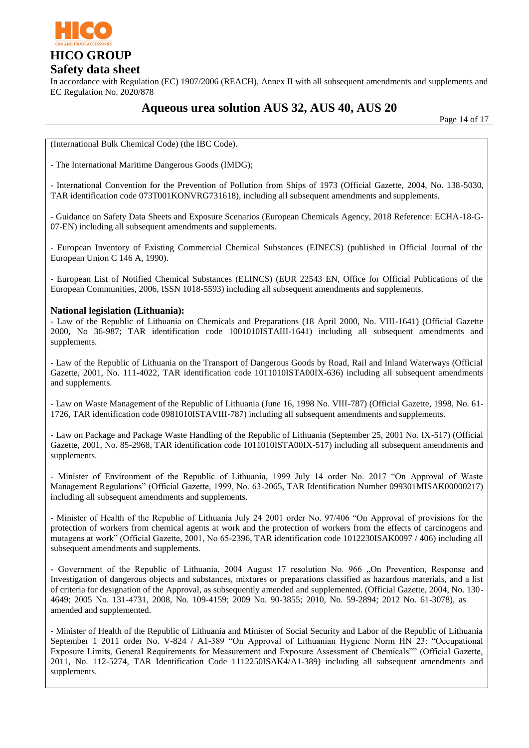

In accordance with Regulation (EC) 1907/2006 (REACH), Annex II with all subsequent amendments and supplements and EC Regulation No. 2020/878

# **Aqueous urea solution AUS 32, AUS 40, AUS 20**

Page 14 of 17

(International Bulk Chemical Code) (the IBC Code).

- The International Maritime Dangerous Goods (IMDG);

- International Convention for the Prevention of Pollution from Ships of 1973 (Official Gazette, 2004, No. 138-5030, TAR identification code 073T001KONVRG731618), including all subsequent amendments and supplements.

- Guidance on Safety Data Sheets and Exposure Scenarios (European Chemicals Agency, 2018 Reference: ECHA-18-G-07-EN) including all subsequent amendments and supplements.

- European Inventory of Existing Commercial Chemical Substances (EINECS) (published in Official Journal of the European Union C 146 A, 1990).

- European List of Notified Chemical Substances (ELINCS) (EUR 22543 EN, Office for Official Publications of the European Communities, 2006, ISSN 1018-5593) including all subsequent amendments and supplements.

#### **National legislation (Lithuania):**

- Law of the Republic of Lithuania on Chemicals and Preparations (18 April 2000, No. VIII-1641) (Official Gazette 2000, No 36-987; TAR identification code 1001010ISTAIII-1641) including all subsequent amendments and supplements.

- Law of the Republic of Lithuania on the Transport of Dangerous Goods by Road, Rail and Inland Waterways (Official Gazette, 2001, No. 111-4022, TAR identification code 1011010ISTA00IX-636) including all subsequent amendments and supplements.

- Law on Waste Management of the Republic of Lithuania (June 16, 1998 No. VIII-787) (Official Gazette, 1998, No. 61- 1726, TAR identification code 0981010ISTAVIII-787) including all subsequent amendments and supplements.

- Law on Package and Package Waste Handling of the Republic of Lithuania (September 25, 2001 No. IX-517) (Official Gazette, 2001, No. 85-2968, TAR identification code 1011010ISTA00IX-517) including all subsequent amendments and supplements.

- Minister of Environment of the Republic of Lithuania, 1999 July 14 order No. 2017 "On Approval of Waste Management Regulations" (Official Gazette, 1999, No. 63-2065, TAR Identification Number 099301MISAK00000217) including all subsequent amendments and supplements.

- Minister of Health of the Republic of Lithuania July 24 2001 order No. 97/406 "On Approval of provisions for the protection of workers from chemical agents at work and the protection of workers from the effects of carcinogens and mutagens at work" (Official Gazette, 2001, No 65-2396, TAR identification code 1012230ISAK0097 / 406) including all subsequent amendments and supplements.

- Government of the Republic of Lithuania, 2004 August 17 resolution No. 966 "On Prevention, Response and Investigation of dangerous objects and substances, mixtures or preparations classified as hazardous materials, and a list of criteria for designation of the Approval, as subsequently amended and supplemented. (Official Gazette, 2004, No. 130- 4649; 2005 No. 131-4731, 2008, No. 109-4159; 2009 No. 90-3855; 2010, No. 59-2894; 2012 No. 61-3078), as amended and supplemented.

- Minister of Health of the Republic of Lithuania and Minister of Social Security and Labor of the Republic of Lithuania September 1 2011 order No. V-824 / A1-389 "On Approval of Lithuanian Hygiene Norm HN 23: "Occupational Exposure Limits, General Requirements for Measurement and Exposure Assessment of Chemicals"" (Official Gazette, 2011, No. 112-5274, TAR Identification Code 1112250ISAK4/A1-389) including all subsequent amendments and supplements.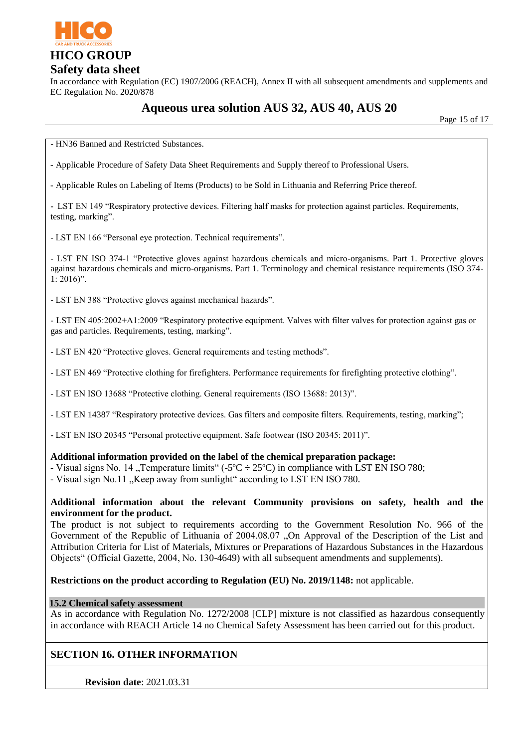

In accordance with Regulation (EC) 1907/2006 (REACH), Annex II with all subsequent amendments and supplements and EC Regulation No. 2020/878

# **Aqueous urea solution AUS 32, AUS 40, AUS 20**

Page 15 of 17

- HN36 Banned and Restricted Substances.

- Applicable Procedure of Safety Data Sheet Requirements and Supply thereof to Professional Users.

- Applicable Rules on Labeling of Items (Products) to be Sold in Lithuania and Referring Price thereof.

- LST EN 149 "Respiratory protective devices. Filtering half masks for protection against particles. Requirements, testing, marking".

- LST EN 166 "Personal eye protection. Technical requirements".

- LST EN ISO 374-1 "Protective gloves against hazardous chemicals and micro-organisms. Part 1. Protective gloves against hazardous chemicals and micro-organisms. Part 1. Terminology and chemical resistance requirements (ISO 374-  $1: 2016$ ".

- LST EN 388 "Protective gloves against mechanical hazards".

- LST EN 405:2002+A1:2009 "Respiratory protective equipment. Valves with filter valves for protection against gas or gas and particles. Requirements, testing, marking".

- LST EN 420 "Protective gloves. General requirements and testing methods".

- LST EN 469 "Protective clothing for firefighters. Performance requirements for firefighting protective clothing".

- LST EN ISO 13688 "Protective clothing. General requirements (ISO 13688: 2013)".

- LST EN 14387 "Respiratory protective devices. Gas filters and composite filters. Requirements, testing, marking";

- LST EN ISO 20345 "Personal protective equipment. Safe footwear (ISO 20345: 2011)".

#### **Additional information provided on the label of the chemical preparation package:**

- Visual signs No. 14, Temperature limits" (-5 $^{\circ}$ C ÷ 25 $^{\circ}$ C) in compliance with LST EN ISO 780;

- Visual sign No.11 . Keep away from sunlight" according to LST EN ISO 780.

#### **Additional information about the relevant Community provisions on safety, health and the environment for the product.**

The product is not subject to requirements according to the Government Resolution No. 966 of the Government of the Republic of Lithuania of 2004.08.07 "On Approval of the Description of the List and Attribution Criteria for List of Materials, Mixtures or Preparations of Hazardous Substances in the Hazardous Objects" (Official Gazette, 2004, No. 130-4649) with all subsequent amendments and supplements).

#### **Restrictions on the product according to Regulation (EU) No. 2019/1148:** not applicable.

#### **15.2 Chemical safety assessment**

As in accordance with Regulation No. 1272/2008 [CLP] mixture is not classified as hazardous consequently in accordance with REACH Article 14 no Chemical Safety Assessment has been carried out for this product.

### **SECTION 16. OTHER INFORMATION**

**Revision date**: 2021.03.31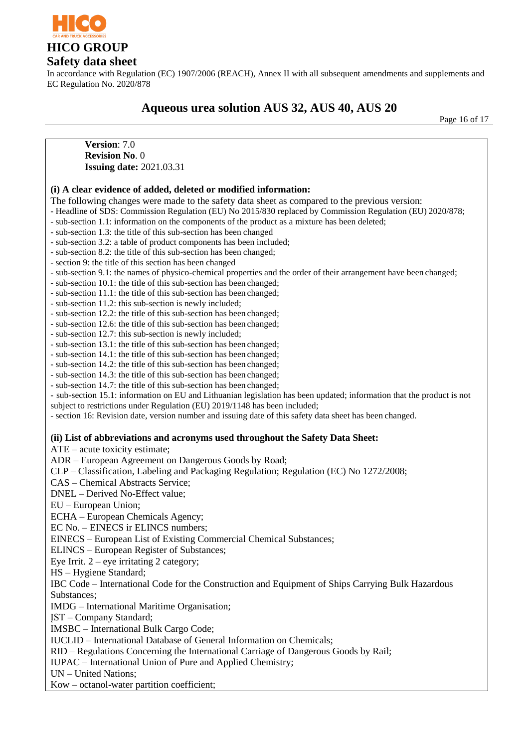

### **Safety data sheet**

In accordance with Regulation (EC) 1907/2006 (REACH), Annex II with all subsequent amendments and supplements and EC Regulation No. 2020/878

# **Aqueous urea solution AUS 32, AUS 40, AUS 20**

Page 16 of 17

**Version**: 7.0 **Revision No**. 0 **Issuing date:** 2021.03.31

#### **(i) A clear evidence of added, deleted or modified information:**

The following changes were made to the safety data sheet as compared to the previous version:

- Headline of SDS: Commission Regulation (EU) No 2015/830 replaced by Commission Regulation (EU) 2020/878;
- sub-section 1.1: information on the components of the product as a mixture has been deleted;
- sub-section 1.3: the title of this sub-section has been changed
- sub-section 3.2: a table of product components has been included;
- sub-section 8.2: the title of this sub-section has been changed;
- section 9: the title of this section has been changed
- sub-section 9.1: the names of physico-chemical properties and the order of their arrangement have been changed;
- sub-section 10.1: the title of this sub-section has been changed;
- sub-section 11.1: the title of this sub-section has been changed;
- sub-section 11.2: this sub-section is newly included;
- sub-section 12.2: the title of this sub-section has been changed;
- sub-section 12.6: the title of this sub-section has been changed;
- sub-section 12.7: this sub-section is newly included;
- sub-section 13.1: the title of this sub-section has been changed;
- sub-section 14.1: the title of this sub-section has been changed;
- sub-section 14.2: the title of this sub-section has been changed;
- sub-section 14.3: the title of this sub-section has been changed;
- sub-section 14.7: the title of this sub-section has been changed;

- sub-section 15.1: information on EU and Lithuanian legislation has been updated; information that the product is not subject to restrictions under Regulation (EU) 2019/1148 has been included;

- section 16: Revision date, version number and issuing date of this safety data sheet has been changed.

#### **(ii) List of abbreviations and acronyms used throughout the Safety Data Sheet:**

ATE – acute toxicity estimate;

ADR – European Agreement on Dangerous Goods by Road;

- CLP Classification, Labeling and Packaging Regulation; Regulation (EC) No 1272/2008;
- CAS Chemical Abstracts Service;
- DNEL Derived No-Effect value;
- EU European Union;
- ECHA European Chemicals Agency;
- EC No. EINECS ir ELINCS numbers;
- EINECS European List of Existing Commercial Chemical Substances;
- ELINCS European Register of Substances;
- Eye Irrit.  $2$  eye irritating 2 category;
- HS Hygiene Standard;
- IBC Code International Code for the Construction and Equipment of Ships Carrying Bulk Hazardous Substances;
- IMDG International Maritime Organisation;
- ĮST Company Standard;
- IMSBC International Bulk Cargo Code;
- IUCLID International Database of General Information on Chemicals;
- RID Regulations Concerning the International Carriage of Dangerous Goods by Rail;
- IUPAC International Union of Pure and Applied Chemistry;
- UN United Nations;
- Kow octanol-water partition coefficient;